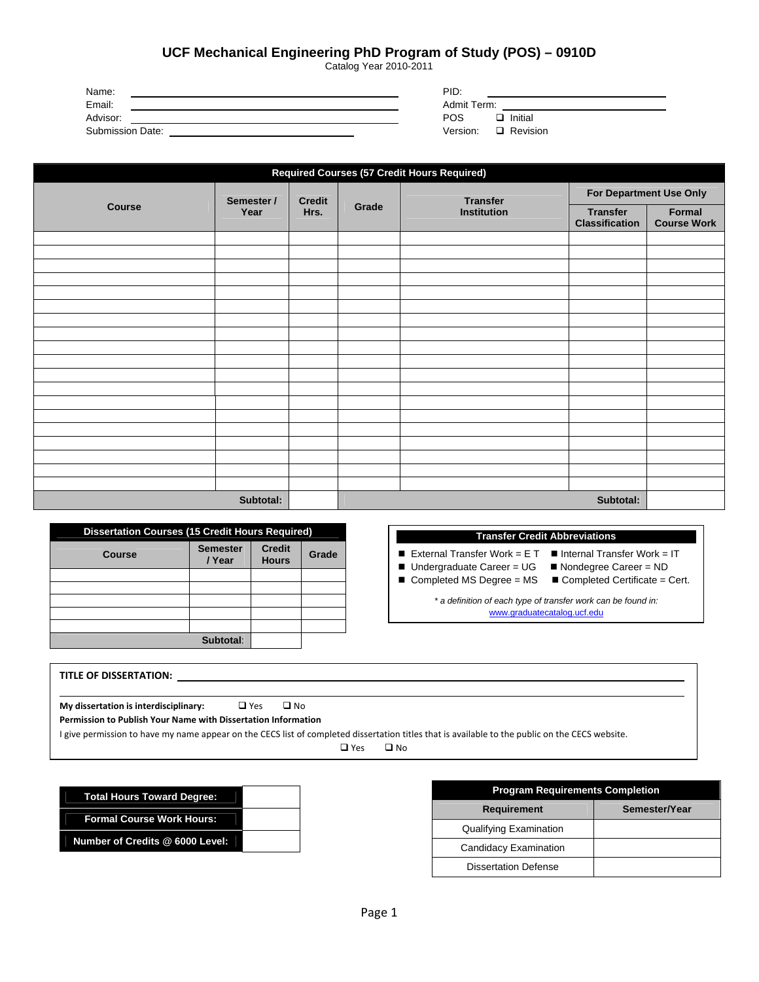Clear POS

## **UCF Mechanical Engineering PhD Program of Study (POS) – 0910D**

Catalog Year 2010-2011

| Print PC |
|----------|
|----------|

Save POS

| Name:                   | PID:                        |
|-------------------------|-----------------------------|
| Email:                  | Admit Term:                 |
| Advisor:                | <b>POS</b><br>Initial<br>□  |
| <b>Submission Date:</b> | Version:<br>$\Box$ Revision |

| <b>Required Courses (57 Credit Hours Required)</b> |            |                                        |                    |                                          |                              |  |
|----------------------------------------------------|------------|----------------------------------------|--------------------|------------------------------------------|------------------------------|--|
|                                                    | Semester / | <b>Credit</b><br>Grade<br>Year<br>Hrs. |                    | <b>Transfer</b>                          | For Department Use Only      |  |
| <b>Course</b>                                      |            |                                        | <b>Institution</b> | <b>Transfer</b><br><b>Classification</b> | Formal<br><b>Course Work</b> |  |
|                                                    |            |                                        |                    |                                          |                              |  |
|                                                    |            |                                        |                    |                                          |                              |  |
|                                                    |            |                                        |                    |                                          |                              |  |
|                                                    |            |                                        |                    |                                          |                              |  |
|                                                    |            |                                        |                    |                                          |                              |  |
|                                                    |            |                                        |                    |                                          |                              |  |
|                                                    |            |                                        |                    |                                          |                              |  |
|                                                    |            |                                        |                    |                                          |                              |  |
|                                                    |            |                                        |                    |                                          |                              |  |
|                                                    |            |                                        |                    |                                          |                              |  |
|                                                    |            |                                        |                    |                                          |                              |  |
|                                                    |            |                                        |                    |                                          |                              |  |
|                                                    |            |                                        |                    |                                          |                              |  |
|                                                    |            |                                        |                    |                                          |                              |  |
|                                                    |            |                                        |                    |                                          |                              |  |
|                                                    |            |                                        |                    |                                          |                              |  |
|                                                    |            |                                        |                    |                                          |                              |  |
|                                                    |            |                                        |                    |                                          |                              |  |
|                                                    | Subtotal:  |                                        |                    |                                          | Subtotal:                    |  |

| <b>Dissertation Courses (15 Credit Hours Required)</b> |                           |                               |       |
|--------------------------------------------------------|---------------------------|-------------------------------|-------|
| Course                                                 | <b>Semester</b><br>/ Year | <b>Credit</b><br><b>Hours</b> | Grade |
|                                                        |                           |                               |       |
|                                                        |                           |                               |       |
|                                                        |                           |                               |       |
|                                                        |                           |                               |       |
|                                                        |                           |                               |       |
|                                                        | Subtotal:                 |                               |       |

## **Transfer Credit Abbreviations**

External Transfer Work =  $ET$  **I**nternal Transfer Work =  $IT$ 

- Undergraduate Career = UG <br>■ Nondegree Career = ND
- 
- Completed MS Degree = MS Completed Certificate = Cert.
	-

*\* a definition of each type of transfer work can be found in:*  www.graduatecatalog.ucf.edu

| TITLE OF DISSERTATION:                                                                                                                          | the contract of the contract of the contract of the |           |  |
|-------------------------------------------------------------------------------------------------------------------------------------------------|-----------------------------------------------------|-----------|--|
|                                                                                                                                                 |                                                     |           |  |
| My dissertation is interdisciplinary:                                                                                                           | $\Box$ Yes                                          | $\Box$ No |  |
| Permission to Publish Your Name with Dissertation Information                                                                                   |                                                     |           |  |
| I give permission to have my name appear on the CECS list of completed dissertation titles that is available to the public on the CECS website. |                                                     |           |  |
|                                                                                                                                                 |                                                     |           |  |

□ Yes □ No

| <b>Total Hours Toward Degree:</b> |  |
|-----------------------------------|--|
| <b>Formal Course Work Hours:</b>  |  |
| Number of Credits @ 6000 Level:   |  |

| <b>Program Requirements Completion</b> |               |  |  |
|----------------------------------------|---------------|--|--|
| <b>Requirement</b>                     | Semester/Year |  |  |
| <b>Qualifying Examination</b>          |               |  |  |
| Candidacy Examination                  |               |  |  |
| <b>Dissertation Defense</b>            |               |  |  |